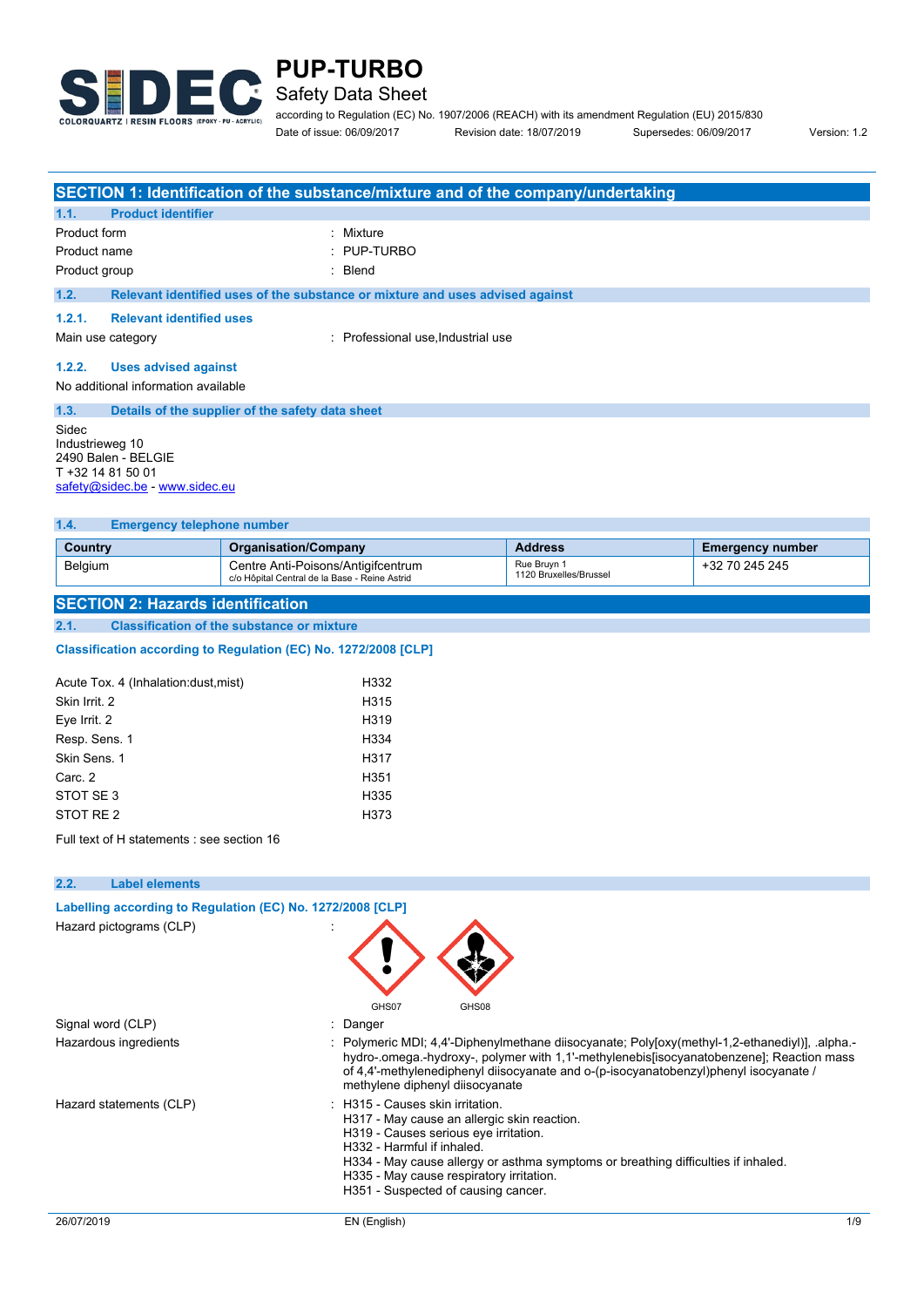

## **PUP-TURBO** Safety Data Sheet

according to Regulation (EC) No. 1907/2006 (REACH) with its amendment Regulation (EU) 2015/830

Date of issue: 06/09/2017 Revision date: 18/07/2019 Supersedes: 06/09/2017 Version: 1.2

|                                                                                                        |                                                  | SECTION 1: Identification of the substance/mixture and of the company/undertaking |
|--------------------------------------------------------------------------------------------------------|--------------------------------------------------|-----------------------------------------------------------------------------------|
| 1.1.                                                                                                   | <b>Product identifier</b>                        |                                                                                   |
| Product form                                                                                           |                                                  | : Mixture                                                                         |
| Product name                                                                                           |                                                  | $\therefore$ PUP-TURBO                                                            |
| Product group                                                                                          |                                                  | Blend                                                                             |
| 1.2.                                                                                                   |                                                  | Relevant identified uses of the substance or mixture and uses advised against     |
| 1.2.1.                                                                                                 | <b>Relevant identified uses</b>                  |                                                                                   |
|                                                                                                        | Main use category                                | : Professional use, Industrial use                                                |
| 1.2.2.                                                                                                 | <b>Uses advised against</b>                      |                                                                                   |
| No additional information available                                                                    |                                                  |                                                                                   |
| 1.3.                                                                                                   | Details of the supplier of the safety data sheet |                                                                                   |
| Sidec<br>Industrieweg 10<br>2490 Balen - BELGIE<br>T +32 14 81 50 01<br>safety@sidec.be - www.sidec.eu |                                                  |                                                                                   |

#### **1.4. Emergency telephone number**

| Country        | <b>Organisation/Company</b>                                                           | <b>Address</b>                        | <b>Emergency number</b> |
|----------------|---------------------------------------------------------------------------------------|---------------------------------------|-------------------------|
| <b>Belgium</b> | ' Centre Anti-Poisons/Antigifcentrum<br>c/o Hôpital Central de la Base - Reine Astrid | Rue Bruvn 1<br>1120 Bruxelles/Brussel | +32 70 245 245          |

#### **SECTION 2: Hazards identification**

**2.1. Classification of the substance or mixture**

Classification according to Regulation (EC) No. 1272/2008 [CLP]

| Acute Tox. 4 (Inhalation: dust, mist) | H332              |
|---------------------------------------|-------------------|
| Skin Irrit. 2                         | H <sub>315</sub>  |
| Eye Irrit. 2                          | H <sub>319</sub>  |
| Resp. Sens. 1                         | H <sub>334</sub>  |
| Skin Sens. 1                          | H317              |
| Carc. 2                               | H <sub>351</sub>  |
| STOT SE3                              | H <sub>335</sub>  |
| STOT RE 2                             | H <sub>3</sub> 73 |
|                                       |                   |

Full text of H statements : see section 16

| 2.2.<br><b>Label elements</b> |                                                                                                                                                                                                                                                                                                                                |
|-------------------------------|--------------------------------------------------------------------------------------------------------------------------------------------------------------------------------------------------------------------------------------------------------------------------------------------------------------------------------|
|                               | Labelling according to Regulation (EC) No. 1272/2008 [CLP]                                                                                                                                                                                                                                                                     |
| Hazard pictograms (CLP)       | GHS07<br>GHS08                                                                                                                                                                                                                                                                                                                 |
| Signal word (CLP)             | : Danger                                                                                                                                                                                                                                                                                                                       |
| Hazardous ingredients         | : Polymeric MDI; 4,4'-Diphenylmethane diisocyanate; Poly[oxy(methyl-1,2-ethanediyl)], .alpha.-<br>hydro-.omega.-hydroxy-, polymer with 1,1'-methylenebis[isocyanatobenzene]; Reaction mass<br>of 4,4'-methylenediphenyl diisocyanate and o-(p-isocyanatobenzyl)phenyl isocyanate /<br>methylene diphenyl diisocyanate          |
| Hazard statements (CLP)       | : H315 - Causes skin irritation.<br>H317 - May cause an allergic skin reaction.<br>H319 - Causes serious eye irritation.<br>H332 - Harmful if inhaled.<br>H334 - May cause allergy or asthma symptoms or breathing difficulties if inhaled.<br>H335 - May cause respiratory irritation.<br>H351 - Suspected of causing cancer. |
| 26/07/2019                    | 1/9<br>EN (English)                                                                                                                                                                                                                                                                                                            |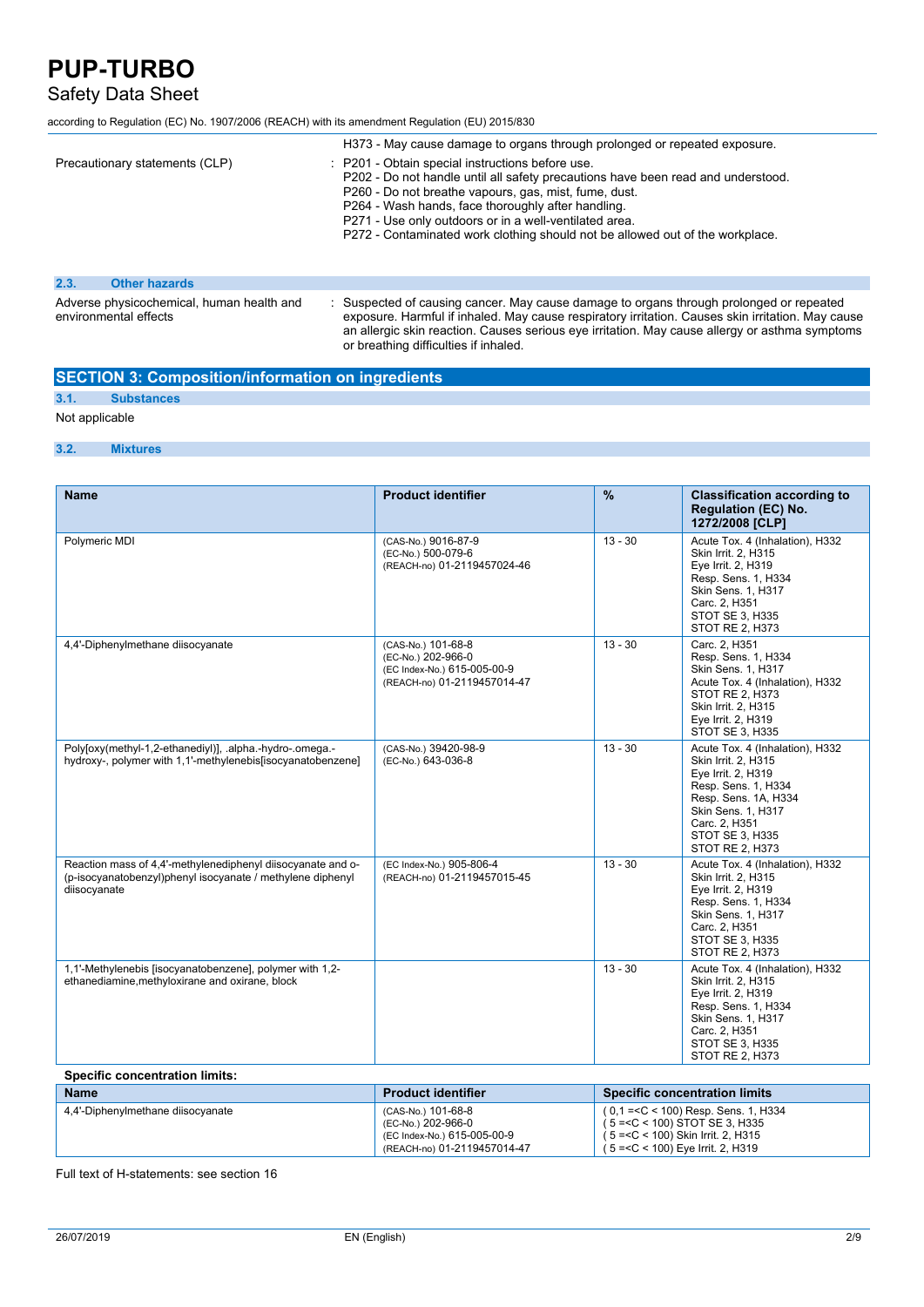### Safety Data Sheet

according to Regulation (EC) No. 1907/2006 (REACH) with its amendment Regulation (EU) 2015/830

|                                                                    | H373 - May cause damage to organs through prolonged or repeated exposure.                                                                                                                                                                                                                                                                                                                      |
|--------------------------------------------------------------------|------------------------------------------------------------------------------------------------------------------------------------------------------------------------------------------------------------------------------------------------------------------------------------------------------------------------------------------------------------------------------------------------|
| Precautionary statements (CLP)                                     | : P201 - Obtain special instructions before use.<br>P202 - Do not handle until all safety precautions have been read and understood.<br>P260 - Do not breathe vapours, gas, mist, fume, dust.<br>P264 - Wash hands, face thoroughly after handling.<br>P271 - Use only outdoors or in a well-ventilated area.<br>P272 - Contaminated work clothing should not be allowed out of the workplace. |
| 2.3.<br><b>Other hazards</b>                                       |                                                                                                                                                                                                                                                                                                                                                                                                |
| Adverse physicochemical, human health and<br>environmental effects | : Suspected of causing cancer. May cause damage to organs through prolonged or repeated<br>exposure. Harmful if inhaled. May cause respiratory irritation. Causes skin irritation. May cause<br>an allergic skin reaction. Causes serious eye irritation. May cause allergy or asthma symptoms<br>or breathing difficulties if inhaled.                                                        |

#### **SECTION 3: Composition/information on ingredients**

### **3.1. Substances**

Not applicable

#### **3.2. Mixtures**

| <b>Name</b>                                                                                                                               | <b>Product identifier</b>                                                                              | $\frac{9}{6}$ | <b>Classification according to</b><br><b>Regulation (EC) No.</b><br>1272/2008 [CLP]                                                                                                                      |
|-------------------------------------------------------------------------------------------------------------------------------------------|--------------------------------------------------------------------------------------------------------|---------------|----------------------------------------------------------------------------------------------------------------------------------------------------------------------------------------------------------|
| Polymeric MDI                                                                                                                             | (CAS-No.) 9016-87-9<br>(EC-No.) 500-079-6<br>(REACH-no) 01-2119457024-46                               | $13 - 30$     | Acute Tox. 4 (Inhalation), H332<br>Skin Irrit. 2, H315<br>Eye Irrit. 2, H319<br>Resp. Sens. 1, H334<br>Skin Sens. 1, H317<br>Carc. 2, H351<br>STOT SE 3, H335<br>STOT RE 2, H373                         |
| 4,4'-Diphenylmethane diisocyanate                                                                                                         | (CAS-No.) 101-68-8<br>(EC-No.) 202-966-0<br>(EC Index-No.) 615-005-00-9<br>(REACH-no) 01-2119457014-47 | $13 - 30$     | Carc. 2, H351<br>Resp. Sens. 1, H334<br>Skin Sens. 1, H317<br>Acute Tox. 4 (Inhalation), H332<br>STOT RE 2, H373<br>Skin Irrit. 2, H315<br>Eye Irrit. 2, H319<br>STOT SE 3, H335                         |
| Poly[oxy(methyl-1,2-ethanediyl)], .alpha.-hydro-.omega.-<br>hydroxy-, polymer with 1,1'-methylenebis[isocyanatobenzene]                   | (CAS-No.) 39420-98-9<br>(EC-No.) 643-036-8                                                             | $13 - 30$     | Acute Tox. 4 (Inhalation), H332<br>Skin Irrit. 2, H315<br>Eye Irrit. 2, H319<br>Resp. Sens. 1, H334<br>Resp. Sens. 1A, H334<br>Skin Sens. 1, H317<br>Carc. 2, H351<br>STOT SE 3, H335<br>STOT RE 2, H373 |
| Reaction mass of 4.4'-methylenediphenyl diisocyanate and o-<br>(p-isocyanatobenzyl)phenyl isocyanate / methylene diphenyl<br>diisocyanate | (EC Index-No.) 905-806-4<br>(REACH-no) 01-2119457015-45                                                | $13 - 30$     | Acute Tox. 4 (Inhalation), H332<br>Skin Irrit. 2, H315<br>Eye Irrit. 2, H319<br>Resp. Sens. 1, H334<br><b>Skin Sens. 1. H317</b><br>Carc. 2, H351<br>STOT SE 3, H335<br>STOT RE 2, H373                  |
| 1,1'-Methylenebis [isocyanatobenzene], polymer with 1,2-<br>ethanediamine, methyloxirane and oxirane, block                               |                                                                                                        | $13 - 30$     | Acute Tox. 4 (Inhalation), H332<br>Skin Irrit. 2, H315<br>Eye Irrit. 2, H319<br>Resp. Sens. 1, H334<br><b>Skin Sens. 1, H317</b><br>Carc. 2, H351<br>STOT SE 3, H335<br>STOT RE 2, H373                  |
| <b>Specific concentration limits:</b>                                                                                                     |                                                                                                        |               |                                                                                                                                                                                                          |

#### **Product identifier Product identifier Specific concentration limits** 4,4'-Diphenylmethane diisocyanate (CAS-No.) 101-68-8<br>(EC-No.) 202-966-0 (EC Index-No.) 615-005-00-9 (REACH-no) 01-2119457014-47 ( 0,1 =<C < 100) Resp. Sens. 1, H334 ( 5 =<C < 100) STOT SE 3, H335 ( 5 =<C < 100) Skin Irrit. 2, H315 ( 5 =<C < 100) Eye Irrit. 2, H319

Full text of H-statements: see section 16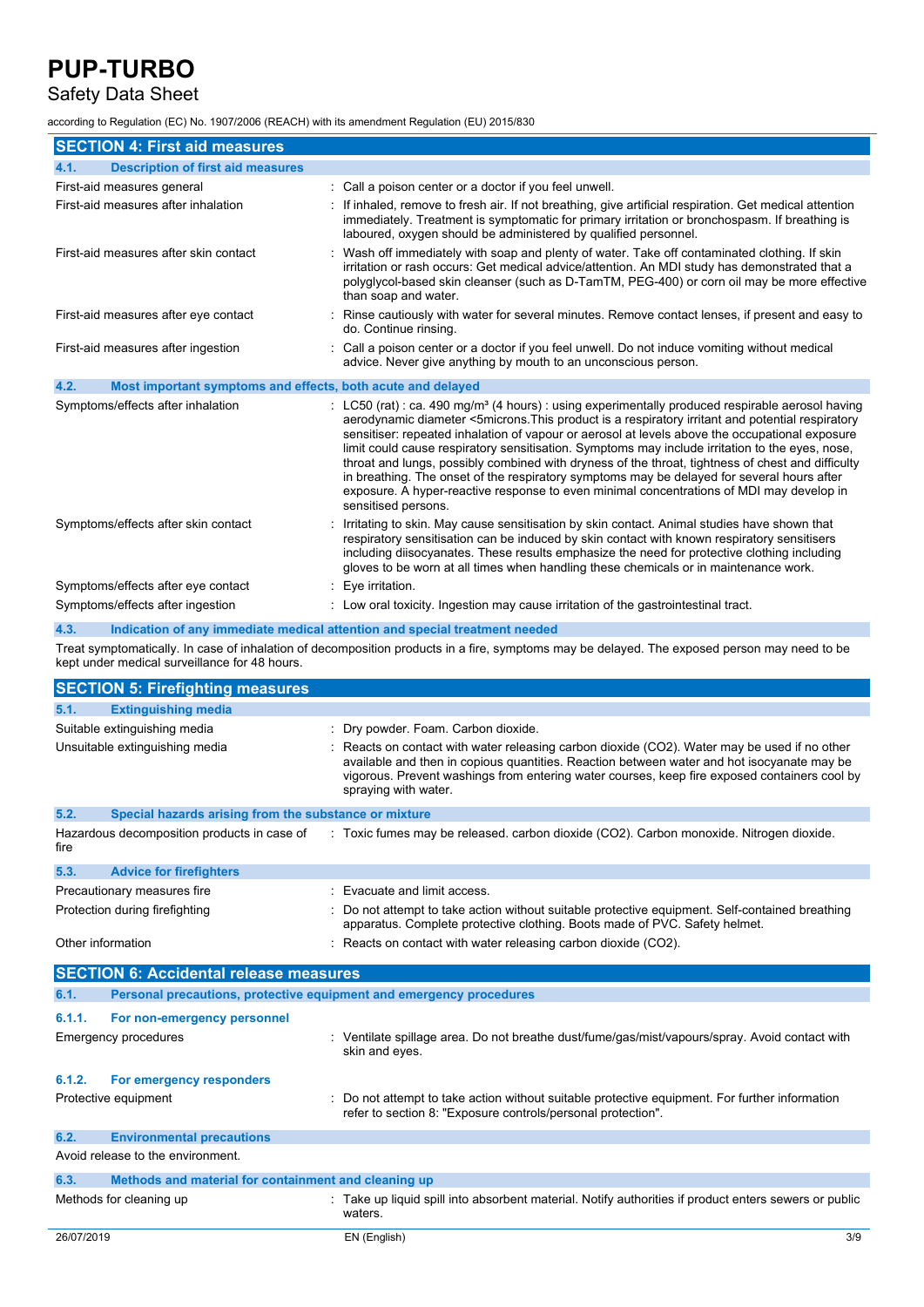### Safety Data Sheet

according to Regulation (EC) No. 1907/2006 (REACH) with its amendment Regulation (EU) 2015/830

| <b>SECTION 4: First aid measures</b>                                |                                                                                                                                                                                                                                                                                                                                                                                                                                                                                                                                                                                                                                                                                                                                             |
|---------------------------------------------------------------------|---------------------------------------------------------------------------------------------------------------------------------------------------------------------------------------------------------------------------------------------------------------------------------------------------------------------------------------------------------------------------------------------------------------------------------------------------------------------------------------------------------------------------------------------------------------------------------------------------------------------------------------------------------------------------------------------------------------------------------------------|
| 4.1.<br><b>Description of first aid measures</b>                    |                                                                                                                                                                                                                                                                                                                                                                                                                                                                                                                                                                                                                                                                                                                                             |
| First-aid measures general                                          | : Call a poison center or a doctor if you feel unwell.                                                                                                                                                                                                                                                                                                                                                                                                                                                                                                                                                                                                                                                                                      |
| First-aid measures after inhalation                                 | If inhaled, remove to fresh air. If not breathing, give artificial respiration. Get medical attention<br>immediately. Treatment is symptomatic for primary irritation or bronchospasm. If breathing is<br>laboured, oxygen should be administered by qualified personnel.                                                                                                                                                                                                                                                                                                                                                                                                                                                                   |
| First-aid measures after skin contact                               | Wash off immediately with soap and plenty of water. Take off contaminated clothing. If skin<br>irritation or rash occurs: Get medical advice/attention. An MDI study has demonstrated that a<br>polyglycol-based skin cleanser (such as D-TamTM, PEG-400) or corn oil may be more effective<br>than soap and water.                                                                                                                                                                                                                                                                                                                                                                                                                         |
| First-aid measures after eye contact                                | Rinse cautiously with water for several minutes. Remove contact lenses, if present and easy to<br>do. Continue rinsing.                                                                                                                                                                                                                                                                                                                                                                                                                                                                                                                                                                                                                     |
| First-aid measures after ingestion                                  | Call a poison center or a doctor if you feel unwell. Do not induce vomiting without medical<br>advice. Never give anything by mouth to an unconscious person.                                                                                                                                                                                                                                                                                                                                                                                                                                                                                                                                                                               |
| 4.2.<br>Most important symptoms and effects, both acute and delayed |                                                                                                                                                                                                                                                                                                                                                                                                                                                                                                                                                                                                                                                                                                                                             |
| Symptoms/effects after inhalation                                   | : LC50 (rat) : ca. 490 mg/m <sup>3</sup> (4 hours) : using experimentally produced respirable aerosol having<br>aerodynamic diameter <5microns. This product is a respiratory irritant and potential respiratory<br>sensitiser: repeated inhalation of vapour or aerosol at levels above the occupational exposure<br>limit could cause respiratory sensitisation. Symptoms may include irritation to the eyes, nose,<br>throat and lungs, possibly combined with dryness of the throat, tightness of chest and difficulty<br>in breathing. The onset of the respiratory symptoms may be delayed for several hours after<br>exposure. A hyper-reactive response to even minimal concentrations of MDI may develop in<br>sensitised persons. |
| Symptoms/effects after skin contact                                 | Irritating to skin. May cause sensitisation by skin contact. Animal studies have shown that<br>respiratory sensitisation can be induced by skin contact with known respiratory sensitisers<br>including diisocyanates. These results emphasize the need for protective clothing including<br>gloves to be worn at all times when handling these chemicals or in maintenance work.                                                                                                                                                                                                                                                                                                                                                           |
| Symptoms/effects after eye contact                                  | : Eye irritation.                                                                                                                                                                                                                                                                                                                                                                                                                                                                                                                                                                                                                                                                                                                           |
| Symptoms/effects after ingestion                                    | : Low oral toxicity. Ingestion may cause irritation of the gastrointestinal tract.                                                                                                                                                                                                                                                                                                                                                                                                                                                                                                                                                                                                                                                          |

**4.3. Indication of any immediate medical attention and special treatment needed**

Treat symptomatically. In case of inhalation of decomposition products in a fire, symptoms may be delayed. The exposed person may need to be kept under medical surveillance for 48 hours.

|                   | <b>SECTION 5: Firefighting measures</b>                             |                                               |                                                                                                                                                                                                                                                                                                                  |  |  |
|-------------------|---------------------------------------------------------------------|-----------------------------------------------|------------------------------------------------------------------------------------------------------------------------------------------------------------------------------------------------------------------------------------------------------------------------------------------------------------------|--|--|
| 5.1.              | <b>Extinguishing media</b>                                          |                                               |                                                                                                                                                                                                                                                                                                                  |  |  |
|                   | Suitable extinguishing media                                        |                                               | Dry powder. Foam. Carbon dioxide.                                                                                                                                                                                                                                                                                |  |  |
|                   | Unsuitable extinguishing media                                      |                                               | Reacts on contact with water releasing carbon dioxide (CO2). Water may be used if no other<br>available and then in copious quantities. Reaction between water and hot isocyanate may be<br>vigorous. Prevent washings from entering water courses, keep fire exposed containers cool by<br>spraying with water. |  |  |
| 5.2.              | Special hazards arising from the substance or mixture               |                                               |                                                                                                                                                                                                                                                                                                                  |  |  |
| fire              | Hazardous decomposition products in case of                         |                                               | : Toxic fumes may be released, carbon dioxide (CO2), Carbon monoxide, Nitrogen dioxide,                                                                                                                                                                                                                          |  |  |
| 5.3.              | <b>Advice for firefighters</b>                                      |                                               |                                                                                                                                                                                                                                                                                                                  |  |  |
|                   | Precautionary measures fire                                         |                                               | Evacuate and limit access.                                                                                                                                                                                                                                                                                       |  |  |
|                   | Protection during firefighting                                      |                                               | Do not attempt to take action without suitable protective equipment. Self-contained breathing<br>apparatus. Complete protective clothing. Boots made of PVC. Safety helmet.                                                                                                                                      |  |  |
| Other information |                                                                     |                                               | Reacts on contact with water releasing carbon dioxide (CO2).                                                                                                                                                                                                                                                     |  |  |
|                   |                                                                     | <b>SECTION 6: Accidental release measures</b> |                                                                                                                                                                                                                                                                                                                  |  |  |
|                   |                                                                     |                                               |                                                                                                                                                                                                                                                                                                                  |  |  |
| 6.1.              | Personal precautions, protective equipment and emergency procedures |                                               |                                                                                                                                                                                                                                                                                                                  |  |  |
| 6.1.1.            | For non-emergency personnel                                         |                                               |                                                                                                                                                                                                                                                                                                                  |  |  |
|                   | <b>Emergency procedures</b>                                         |                                               | Ventilate spillage area. Do not breathe dust/fume/gas/mist/vapours/spray. Avoid contact with<br>skin and eyes.                                                                                                                                                                                                   |  |  |
| 6.1.2.            | For emergency responders                                            |                                               |                                                                                                                                                                                                                                                                                                                  |  |  |
|                   | Protective equipment                                                |                                               | Do not attempt to take action without suitable protective equipment. For further information<br>refer to section 8: "Exposure controls/personal protection".                                                                                                                                                     |  |  |
| 6.2.              | <b>Environmental precautions</b>                                    |                                               |                                                                                                                                                                                                                                                                                                                  |  |  |
|                   | Avoid release to the environment.                                   |                                               |                                                                                                                                                                                                                                                                                                                  |  |  |
| 6.3.              | Methods and material for containment and cleaning up                |                                               |                                                                                                                                                                                                                                                                                                                  |  |  |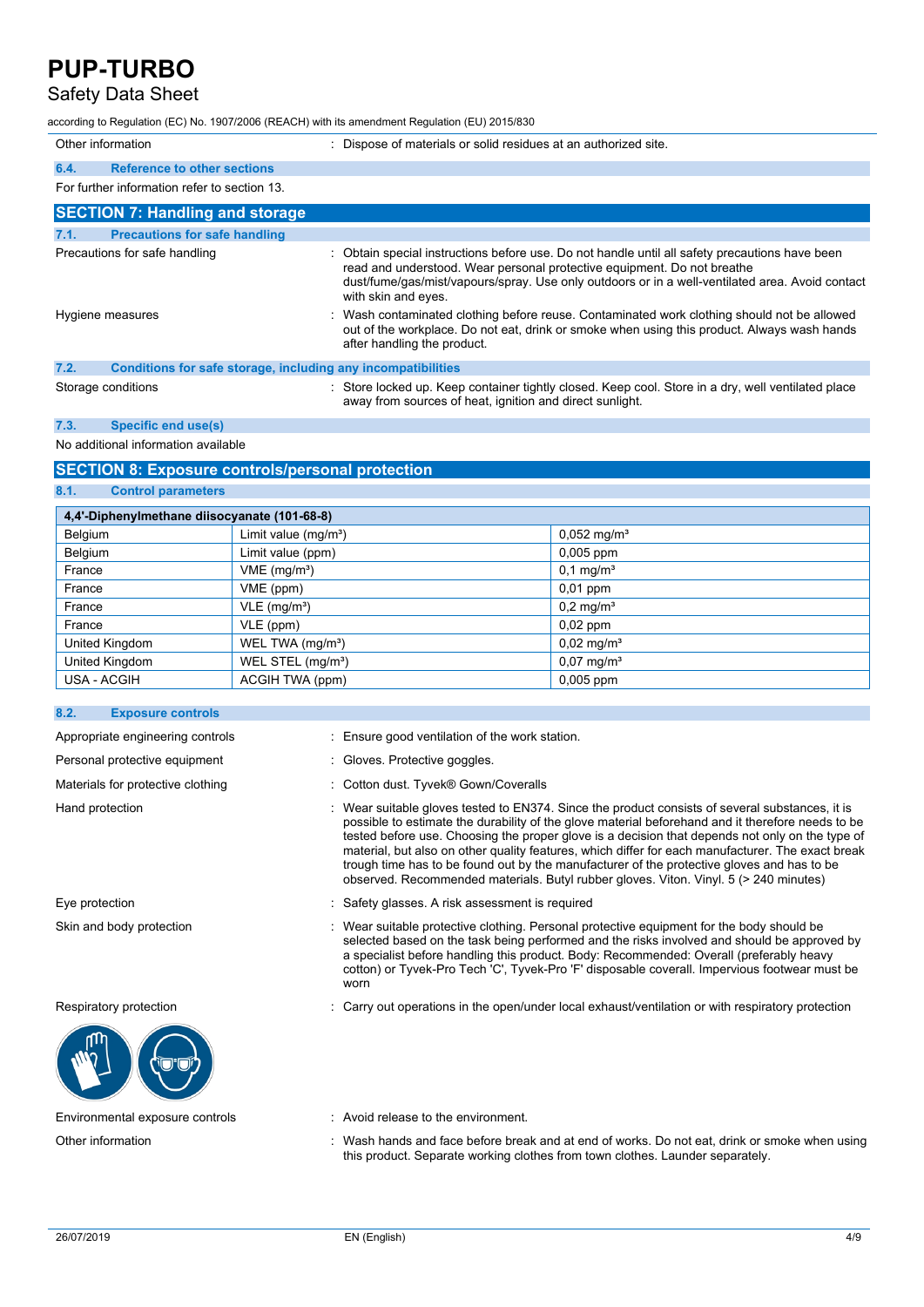### Safety Data Sheet

according to Regulation (EC) No. 1907/2006 (REACH) with its amendment Regulation (EU) 2015/830

| Other information |                                                              | : Dispose of materials or solid residues at an authorized site.                                                                                                                                                                                                                                   |
|-------------------|--------------------------------------------------------------|---------------------------------------------------------------------------------------------------------------------------------------------------------------------------------------------------------------------------------------------------------------------------------------------------|
| 6.4.              | <b>Reference to other sections</b>                           |                                                                                                                                                                                                                                                                                                   |
|                   | For further information refer to section 13.                 |                                                                                                                                                                                                                                                                                                   |
|                   | <b>SECTION 7: Handling and storage</b>                       |                                                                                                                                                                                                                                                                                                   |
| 7.1.              | <b>Precautions for safe handling</b>                         |                                                                                                                                                                                                                                                                                                   |
|                   | Precautions for safe handling                                | Obtain special instructions before use. Do not handle until all safety precautions have been<br>read and understood. Wear personal protective equipment. Do not breathe<br>dust/fume/gas/mist/vapours/spray. Use only outdoors or in a well-ventilated area. Avoid contact<br>with skin and eyes. |
|                   | Hygiene measures                                             | : Wash contaminated clothing before reuse. Contaminated work clothing should not be allowed<br>out of the workplace. Do not eat, drink or smoke when using this product. Always wash hands<br>after handling the product.                                                                         |
| 7.2.              | Conditions for safe storage, including any incompatibilities |                                                                                                                                                                                                                                                                                                   |
|                   | Storage conditions                                           | Store locked up. Keep container tightly closed. Keep cool. Store in a dry, well ventilated place<br>away from sources of heat, ignition and direct sunlight.                                                                                                                                      |

**7.3. Specific end use(s)**

No additional information available

#### **SECTION 8: Exposure controls/personal protection**

**8.1. Control parameters**

| 4,4'-Diphenylmethane diisocyanate (101-68-8) |                               |                           |  |
|----------------------------------------------|-------------------------------|---------------------------|--|
| Belgium                                      | Limit value $(mg/m3)$         | $0,052$ mg/m <sup>3</sup> |  |
| Belgium                                      | Limit value (ppm)             | 0,005 ppm                 |  |
| France                                       | VME (mg/m <sup>3</sup> )      | $0,1 \,\mathrm{mg/m^3}$   |  |
| France                                       | VME (ppm)                     | $0,01$ ppm                |  |
| France                                       | $VLE$ (mg/m <sup>3</sup> )    | $0,2 \,\mathrm{mg/m^3}$   |  |
| France                                       | VLE (ppm)                     | $0,02$ ppm                |  |
| United Kingdom                               | WEL TWA (mg/m <sup>3</sup> )  | $0,02 \,\mathrm{mg/m^3}$  |  |
| United Kingdom                               | WEL STEL (mg/m <sup>3</sup> ) | $0.07 \,\mathrm{mg/m^3}$  |  |
| USA - ACGIH                                  | ACGIH TWA (ppm)               | $0,005$ ppm               |  |

#### **8.2. Exposure controls**

Personal protective equipment : Gloves. Protective goggles.



Appropriate engineering controls : Ensure good ventilation of the work station.

- 
- Materials for protective clothing : Cotton dust. Tyvek® Gown/Coveralls
- Hand protection **interprotatal intervals** Wear suitable gloves tested to EN374. Since the product consists of several substances, it is possible to estimate the durability of the glove material beforehand and it therefore needs to be tested before use. Choosing the proper glove is a decision that depends not only on the type of material, but also on other quality features, which differ for each manufacturer. The exact break trough time has to be found out by the manufacturer of the protective gloves and has to be observed. Recommended materials. Butyl rubber gloves. Viton. Vinyl. 5 (> 240 minutes)
- Eye protection : Safety glasses. A risk assessment is required
- Skin and body protection : Wear suitable protective clothing. Personal protective equipment for the body should be selected based on the task being performed and the risks involved and should be approved by a specialist before handling this product. Body: Recommended: Overall (preferably heavy cotton) or Tyvek-Pro Tech 'C', Tyvek-Pro 'F' disposable coverall. Impervious footwear must be worn

Respiratory protection : Carry out operations in the open/under local exhaust/ventilation or with respiratory protection

Environmental exposure controls : Avoid release to the environment.

Other information : Wash hands and face before break and at end of works. Do not eat, drink or smoke when using this product. Separate working clothes from town clothes. Launder separately.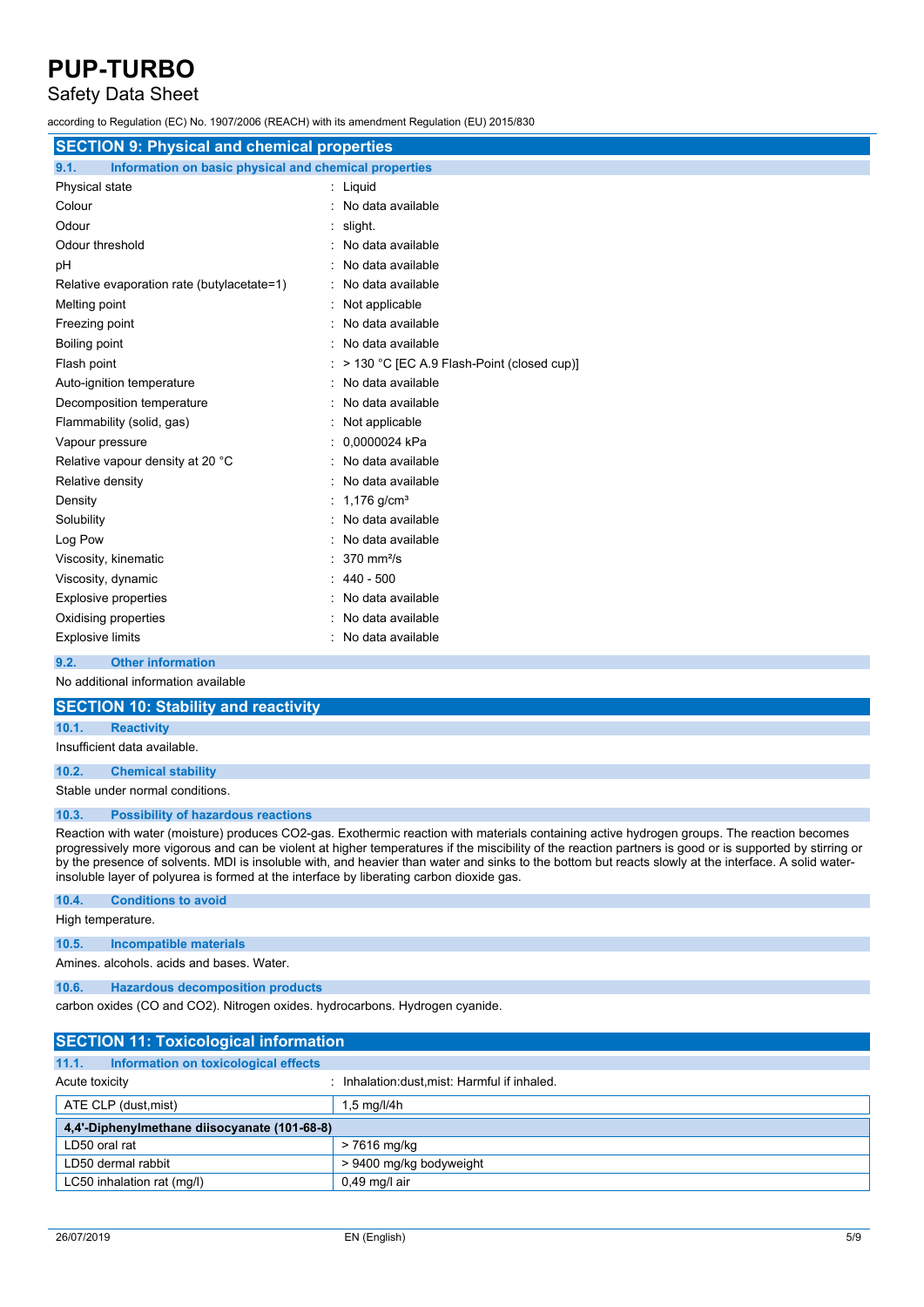### Safety Data Sheet

according to Regulation (EC) No. 1907/2006 (REACH) with its amendment Regulation (EU) 2015/830

| <b>SECTION 9: Physical and chemical properties</b>            |                                            |  |
|---------------------------------------------------------------|--------------------------------------------|--|
| 9.1.<br>Information on basic physical and chemical properties |                                            |  |
| Physical state                                                | : Liquid                                   |  |
| Colour                                                        | : No data available                        |  |
| Odour                                                         | $:$ slight.                                |  |
| Odour threshold                                               | No data available                          |  |
| рH                                                            | : No data available                        |  |
| Relative evaporation rate (butylacetate=1)                    | : No data available                        |  |
| Melting point                                                 | : Not applicable                           |  |
| Freezing point                                                | : No data available                        |  |
| Boiling point                                                 | : No data available                        |  |
| Flash point                                                   | > 130 °C [EC A.9 Flash-Point (closed cup)] |  |
| Auto-ignition temperature                                     | : No data available                        |  |
| Decomposition temperature                                     | : No data available                        |  |
| Flammability (solid, gas)                                     | : Not applicable                           |  |
| Vapour pressure                                               | 0,0000024 kPa                              |  |
| Relative vapour density at 20 °C                              | No data available                          |  |
| Relative density                                              | No data available                          |  |
| Density                                                       | 1,176 $q/cm^{3}$                           |  |
| Solubility                                                    | No data available                          |  |
| Log Pow                                                       | No data available                          |  |
| Viscosity, kinematic                                          | $370$ mm <sup>2</sup> /s                   |  |
| Viscosity, dynamic                                            | $440 - 500$                                |  |
| <b>Explosive properties</b>                                   | No data available                          |  |
| Oxidising properties                                          | No data available                          |  |
| <b>Explosive limits</b>                                       | : No data available                        |  |
| 9.2.<br><b>Other information</b>                              |                                            |  |
| No additional information available                           |                                            |  |

### **SECTION 10: Stability and reactivity**

#### **10.1. Reactivity**

Insufficient data available.

#### **10.2. Chemical stability**

Stable under normal conditions.

#### **10.3. Possibility of hazardous reactions**

Reaction with water (moisture) produces CO2-gas. Exothermic reaction with materials containing active hydrogen groups. The reaction becomes progressively more vigorous and can be violent at higher temperatures if the miscibility of the reaction partners is good or is supported by stirring or by the presence of solvents. MDI is insoluble with, and heavier than water and sinks to the bottom but reacts slowly at the interface. A solid waterinsoluble layer of polyurea is formed at the interface by liberating carbon dioxide gas.

#### **10.4. Conditions to avoid**

High temperature.

#### **10.5. Incompatible materials**

Amines. alcohols. acids and bases. Water.

#### **10.6. Hazardous decomposition products**

carbon oxides (CO and CO2). Nitrogen oxides. hydrocarbons. Hydrogen cyanide.

| <b>SECTION 11: Toxicological information</b>  |                                             |  |
|-----------------------------------------------|---------------------------------------------|--|
| 11.1.<br>Information on toxicological effects |                                             |  |
| Acute toxicity                                | Inhalation: dust, mist: Harmful if inhaled. |  |
| ATE CLP (dust, mist)                          | $1.5$ mg/l/4h                               |  |
| 4,4'-Diphenylmethane diisocyanate (101-68-8)  |                                             |  |
| LD50 oral rat                                 | > 7616 mg/kg                                |  |
| LD50 dermal rabbit                            | > 9400 mg/kg bodyweight                     |  |
| LC50 inhalation rat (mg/l)                    | $0.49$ mg/l air                             |  |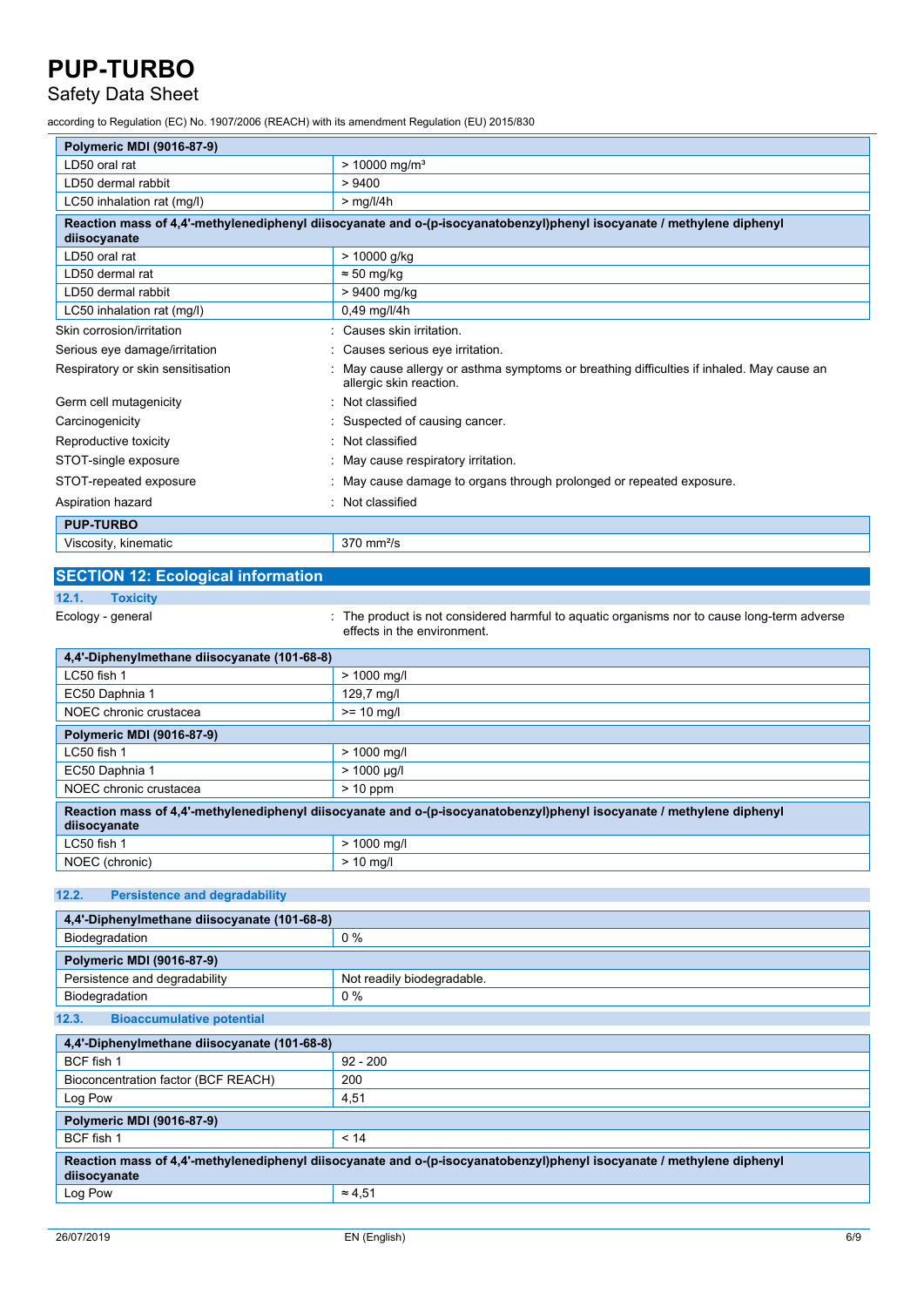### Safety Data Sheet

according to Regulation (EC) No. 1907/2006 (REACH) with its amendment Regulation (EU) 2015/830

| Polymeric MDI (9016-87-9)                                                                                                             |                                                                                                                    |  |
|---------------------------------------------------------------------------------------------------------------------------------------|--------------------------------------------------------------------------------------------------------------------|--|
|                                                                                                                                       |                                                                                                                    |  |
| LD50 oral rat                                                                                                                         | $> 10000$ mg/m <sup>3</sup>                                                                                        |  |
| LD50 dermal rabbit                                                                                                                    | > 9400                                                                                                             |  |
| LC50 inhalation rat (mg/l)                                                                                                            | $>$ mg/l/4h                                                                                                        |  |
| Reaction mass of 4,4'-methylenediphenyl diisocyanate and o-(p-isocyanatobenzyl)phenyl isocyanate / methylene diphenyl<br>diisocyanate |                                                                                                                    |  |
| LD50 oral rat                                                                                                                         | > 10000 g/kg                                                                                                       |  |
| LD50 dermal rat                                                                                                                       | $\approx$ 50 mg/kg                                                                                                 |  |
| LD50 dermal rabbit                                                                                                                    | > 9400 mg/kg                                                                                                       |  |
| LC50 inhalation rat (mg/l)                                                                                                            | 0,49 mg/l/4h                                                                                                       |  |
| Skin corrosion/irritation                                                                                                             | Causes skin irritation.                                                                                            |  |
| Serious eye damage/irritation                                                                                                         | Causes serious eye irritation.                                                                                     |  |
| Respiratory or skin sensitisation                                                                                                     | May cause allergy or asthma symptoms or breathing difficulties if inhaled. May cause an<br>allergic skin reaction. |  |
| Germ cell mutagenicity                                                                                                                | Not classified                                                                                                     |  |
| Carcinogenicity                                                                                                                       | Suspected of causing cancer.                                                                                       |  |
| Reproductive toxicity                                                                                                                 | Not classified                                                                                                     |  |
| STOT-single exposure                                                                                                                  | May cause respiratory irritation.                                                                                  |  |
| STOT-repeated exposure                                                                                                                | May cause damage to organs through prolonged or repeated exposure.                                                 |  |
| Aspiration hazard                                                                                                                     | Not classified                                                                                                     |  |
| <b>PUP-TURBO</b>                                                                                                                      |                                                                                                                    |  |
| Viscosity, kinematic                                                                                                                  | $370$ mm $2/s$                                                                                                     |  |

### **SECTION 12: Ecological information**

### **12.1. Toxicity**

Ecology - general **interproduct is not considered harmful to aquatic organisms nor to cause long-term adverse** effects in the environment.

| 4.4'-Diphenylmethane diisocyanate (101-68-8)                                                                                          |                  |
|---------------------------------------------------------------------------------------------------------------------------------------|------------------|
| $LC50$ fish 1                                                                                                                         | $> 1000$ mg/l    |
| EC50 Daphnia 1                                                                                                                        | 129,7 mg/l       |
| NOEC chronic crustacea                                                                                                                | $>= 10$ ma/l     |
| Polymeric MDI (9016-87-9)                                                                                                             |                  |
| $LC50$ fish 1                                                                                                                         | $> 1000$ mg/l    |
| EC50 Daphnia 1                                                                                                                        | $> 1000 \mu q/l$ |
| NOEC chronic crustacea                                                                                                                | $> 10$ ppm       |
| Reaction mass of 4,4'-methylenediphenyl diisocyanate and o-(p-isocyanatobenzyl)phenyl isocyanate / methylene diphenyl<br>diisocyanate |                  |
| LC50 fish 1                                                                                                                           | $> 1000$ mg/l    |
| NOEC (chronic)                                                                                                                        | $> 10$ ma/l      |

#### **12.2. Persistence and degradability**

| 4,4'-Diphenylmethane diisocyanate (101-68-8)                                                                                          |                            |
|---------------------------------------------------------------------------------------------------------------------------------------|----------------------------|
| Biodegradation                                                                                                                        | $0\%$                      |
| Polymeric MDI (9016-87-9)                                                                                                             |                            |
| Persistence and degradability                                                                                                         | Not readily biodegradable. |
| Biodegradation                                                                                                                        | $0\%$                      |
| <b>Bioaccumulative potential</b><br>12.3.                                                                                             |                            |
| 4,4'-Diphenylmethane diisocyanate (101-68-8)                                                                                          |                            |
| BCF fish 1                                                                                                                            | $92 - 200$                 |
| Bioconcentration factor (BCF REACH)                                                                                                   | 200                        |
| Log Pow                                                                                                                               | 4,51                       |
| <b>Polymeric MDI (9016-87-9)</b>                                                                                                      |                            |
| BCF fish 1                                                                                                                            | < 14                       |
| Reaction mass of 4,4'-methylenediphenyl diisocyanate and o-(p-isocyanatobenzyl)phenyl isocyanate / methylene diphenyl<br>diisocyanate |                            |
| Log Pow                                                                                                                               | $\approx 4.51$             |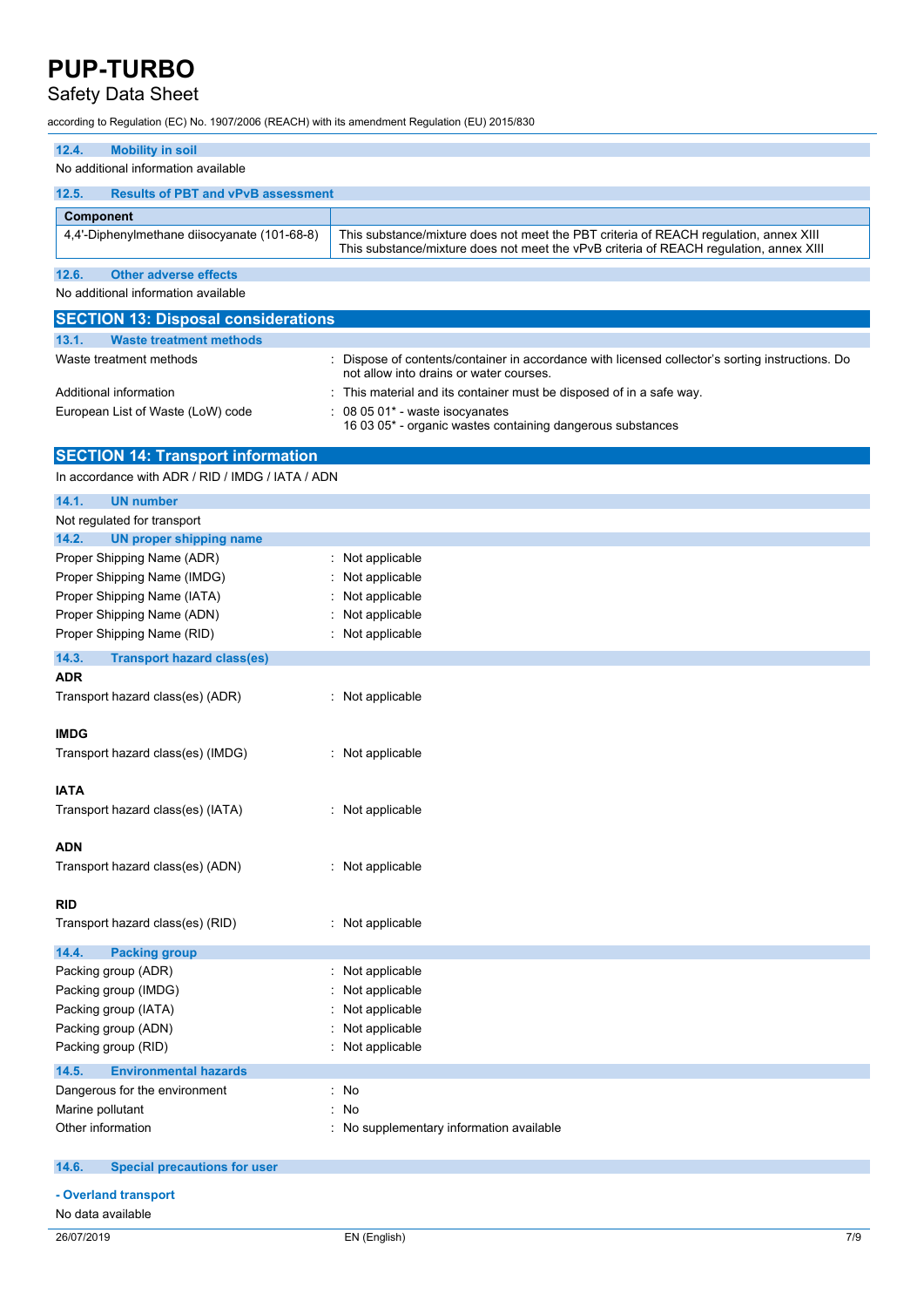### Safety Data Sheet

according to Regulation (EC) No. 1907/2006 (REACH) with its amendment Regulation (EU) 2015/830

| <b>Mobility in soil</b><br>12.4.                         |                                                                                                                                                                                 |
|----------------------------------------------------------|---------------------------------------------------------------------------------------------------------------------------------------------------------------------------------|
| No additional information available                      |                                                                                                                                                                                 |
| <b>Results of PBT and vPvB assessment</b><br>12.5.       |                                                                                                                                                                                 |
| Component                                                |                                                                                                                                                                                 |
| 4,4'-Diphenylmethane diisocyanate (101-68-8)             | This substance/mixture does not meet the PBT criteria of REACH regulation, annex XIII<br>This substance/mixture does not meet the vPvB criteria of REACH regulation, annex XIII |
| 12.6.<br><b>Other adverse effects</b>                    |                                                                                                                                                                                 |
| No additional information available                      |                                                                                                                                                                                 |
| <b>SECTION 13: Disposal considerations</b>               |                                                                                                                                                                                 |
| 13.1.<br><b>Waste treatment methods</b>                  |                                                                                                                                                                                 |
| Waste treatment methods                                  | Dispose of contents/container in accordance with licensed collector's sorting instructions. Do<br>not allow into drains or water courses.                                       |
| Additional information                                   | This material and its container must be disposed of in a safe way.                                                                                                              |
| European List of Waste (LoW) code                        | 08 05 01* - waste isocyanates<br>16 03 05* - organic wastes containing dangerous substances                                                                                     |
| <b>SECTION 14: Transport information</b>                 |                                                                                                                                                                                 |
| In accordance with ADR / RID / IMDG / IATA / ADN         |                                                                                                                                                                                 |
| 14.1.<br><b>UN number</b>                                |                                                                                                                                                                                 |
| Not regulated for transport                              |                                                                                                                                                                                 |
| 14.2.<br><b>UN proper shipping name</b>                  |                                                                                                                                                                                 |
| Proper Shipping Name (ADR)                               | : Not applicable                                                                                                                                                                |
| Proper Shipping Name (IMDG)                              | Not applicable                                                                                                                                                                  |
| Proper Shipping Name (IATA)                              | Not applicable                                                                                                                                                                  |
| Proper Shipping Name (ADN)                               | Not applicable                                                                                                                                                                  |
| Proper Shipping Name (RID)                               | Not applicable                                                                                                                                                                  |
| 14.3.<br><b>Transport hazard class(es)</b><br><b>ADR</b> |                                                                                                                                                                                 |
| Transport hazard class(es) (ADR)                         | : Not applicable                                                                                                                                                                |
| <b>IMDG</b><br>Transport hazard class(es) (IMDG)         | : Not applicable                                                                                                                                                                |
| <b>IATA</b><br>Transport hazard class(es) (IATA)         | : Not applicable                                                                                                                                                                |
| <b>ADN</b><br>Transport hazard class(es) (ADN)           | : Not applicable                                                                                                                                                                |
| <b>RID</b>                                               |                                                                                                                                                                                 |
| Transport hazard class(es) (RID)                         | : Not applicable                                                                                                                                                                |
| 14.4.<br><b>Packing group</b>                            |                                                                                                                                                                                 |
| Packing group (ADR)                                      | Not applicable                                                                                                                                                                  |
| Packing group (IMDG)                                     | Not applicable                                                                                                                                                                  |
| Packing group (IATA)                                     | Not applicable<br>Not applicable                                                                                                                                                |
| Packing group (ADN)                                      | Not applicable                                                                                                                                                                  |
| Packing group (RID)                                      |                                                                                                                                                                                 |
| <b>Environmental hazards</b><br>14.5.                    |                                                                                                                                                                                 |
| Dangerous for the environment                            | : No                                                                                                                                                                            |
| Marine pollutant<br>Other information                    | ÷<br>No<br>No supplementary information available<br>t                                                                                                                          |
|                                                          |                                                                                                                                                                                 |
| <b>Special precautions for user</b><br>14.6.             |                                                                                                                                                                                 |
| - Overland transport                                     |                                                                                                                                                                                 |
| No data available                                        |                                                                                                                                                                                 |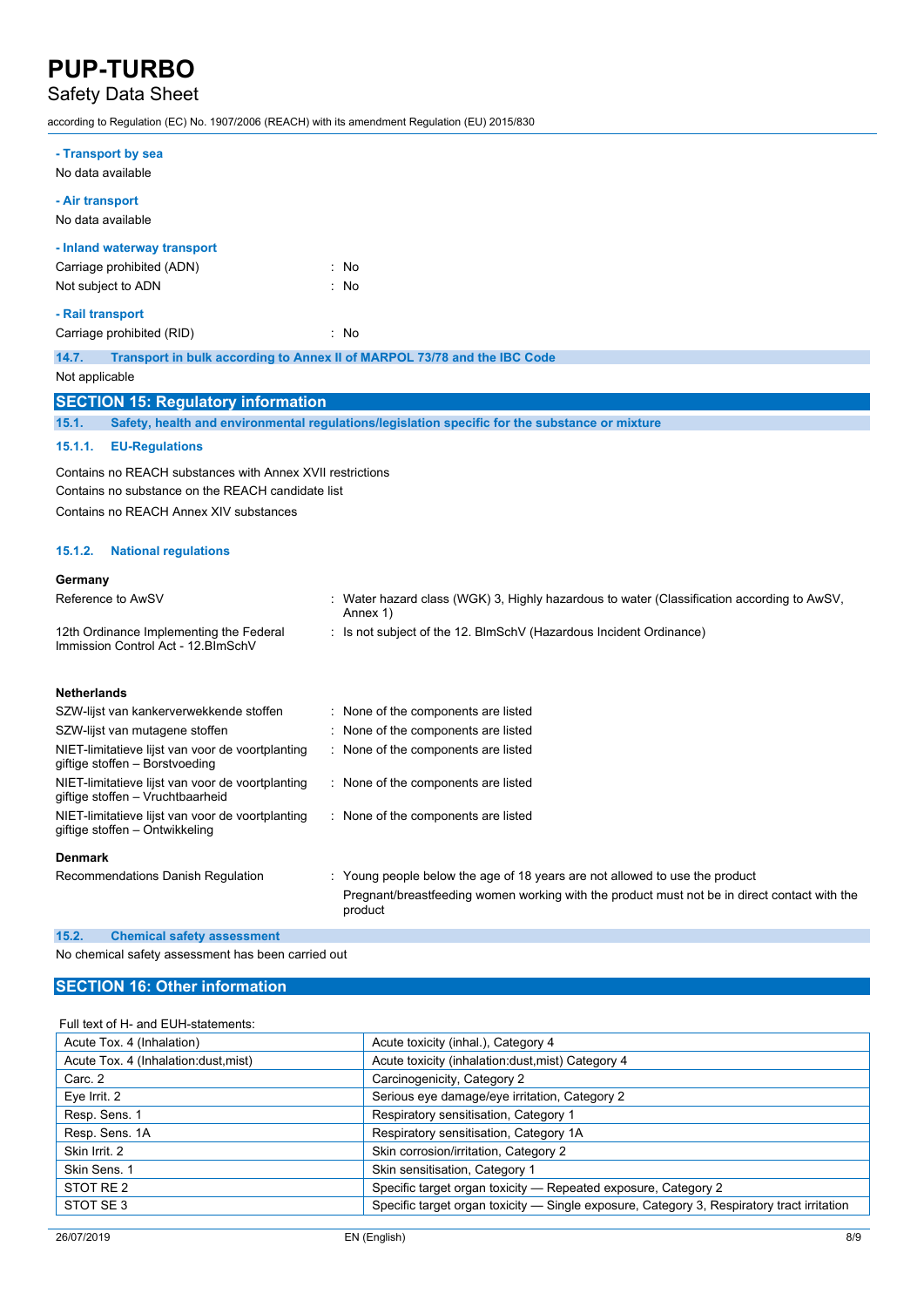## Safety Data Sheet

according to Regulation (EC) No. 1907/2006 (REACH) with its amendment Regulation (EU) 2015/830

| - Transport by sea                                                                   |                                                                                                      |
|--------------------------------------------------------------------------------------|------------------------------------------------------------------------------------------------------|
| No data available                                                                    |                                                                                                      |
| - Air transport                                                                      |                                                                                                      |
| No data available                                                                    |                                                                                                      |
| - Inland waterway transport                                                          |                                                                                                      |
| Carriage prohibited (ADN)                                                            | : No                                                                                                 |
| Not subject to ADN                                                                   | : No                                                                                                 |
| - Rail transport                                                                     |                                                                                                      |
| Carriage prohibited (RID)                                                            | : No                                                                                                 |
| 14.7.                                                                                | Transport in bulk according to Annex II of MARPOL 73/78 and the IBC Code                             |
| Not applicable                                                                       |                                                                                                      |
| <b>SECTION 15: Regulatory information</b>                                            |                                                                                                      |
| 15.1.                                                                                | Safety, health and environmental regulations/legislation specific for the substance or mixture       |
| 15.1.1.<br><b>EU-Regulations</b>                                                     |                                                                                                      |
|                                                                                      |                                                                                                      |
| Contains no REACH substances with Annex XVII restrictions                            |                                                                                                      |
| Contains no substance on the REACH candidate list                                    |                                                                                                      |
| Contains no REACH Annex XIV substances                                               |                                                                                                      |
| 15.1.2.<br><b>National regulations</b>                                               |                                                                                                      |
| Germany                                                                              |                                                                                                      |
| Reference to AwSV                                                                    | Water hazard class (WGK) 3, Highly hazardous to water (Classification according to AwSV,<br>Annex 1) |
| 12th Ordinance Implementing the Federal                                              | : Is not subject of the 12. BlmSchV (Hazardous Incident Ordinance)                                   |
| Immission Control Act - 12. BlmSchV                                                  |                                                                                                      |
|                                                                                      |                                                                                                      |
| <b>Netherlands</b>                                                                   |                                                                                                      |
| SZW-lijst van kankerverwekkende stoffen                                              | : None of the components are listed                                                                  |
| SZW-lijst van mutagene stoffen                                                       | None of the components are listed                                                                    |
| NIET-limitatieve lijst van voor de voortplanting<br>giftige stoffen - Borstvoeding   | None of the components are listed                                                                    |
| NIET-limitatieve lijst van voor de voortplanting<br>giftige stoffen - Vruchtbaarheid | : None of the components are listed                                                                  |
| NIET-limitatieve lijst van voor de voortplanting<br>giftige stoffen - Ontwikkeling   | : None of the components are listed                                                                  |
| <b>Denmark</b>                                                                       |                                                                                                      |
| Recommendations Danish Regulation                                                    | : Young people below the age of 18 years are not allowed to use the product                          |
|                                                                                      | Pregnant/breastfeeding women working with the product must not be in direct contact with the         |
|                                                                                      | product                                                                                              |
| 15.2.<br><b>Chemical safety assessment</b>                                           |                                                                                                      |

No chemical safety assessment has been carried out

### **SECTION 16: Other information**

#### Full text of H- and EUH-statements:

| Acute Tox. 4 (Inhalation)            | Acute toxicity (inhal.), Category 4                                                        |
|--------------------------------------|--------------------------------------------------------------------------------------------|
| Acute Tox. 4 (Inhalation:dust, mist) | Acute toxicity (inhalation:dust, mist) Category 4                                          |
| Carc. 2                              | Carcinogenicity, Category 2                                                                |
| Eye Irrit. 2                         | Serious eye damage/eye irritation, Category 2                                              |
| Resp. Sens. 1                        | Respiratory sensitisation, Category 1                                                      |
| Resp. Sens. 1A                       | Respiratory sensitisation, Category 1A                                                     |
| Skin Irrit, 2                        | Skin corrosion/irritation, Category 2                                                      |
| Skin Sens. 1                         | Skin sensitisation, Category 1                                                             |
| STOT RE 2                            | Specific target organ toxicity - Repeated exposure, Category 2                             |
| STOT SE 3                            | Specific target organ toxicity — Single exposure, Category 3, Respiratory tract irritation |